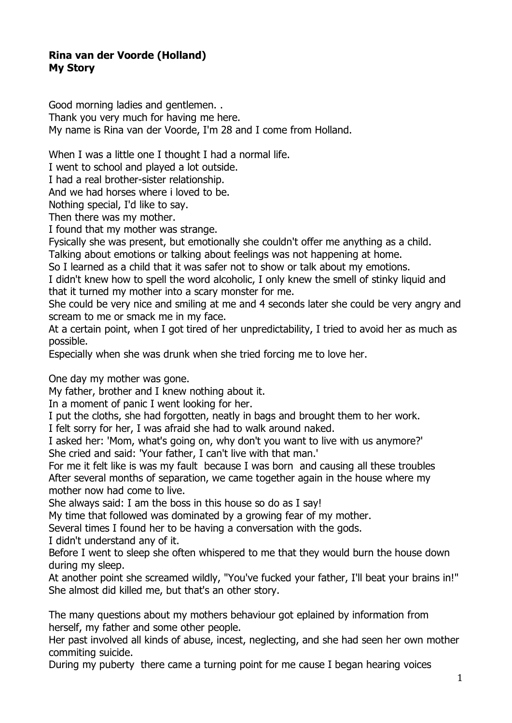## **Rina van der Voorde (Holland) My Story**

Good morning ladies and gentlemen. . Thank you very much for having me here. My name is Rina van der Voorde, I'm 28 and I come from Holland.

When I was a little one I thought I had a normal life.

I went to school and played a lot outside.

I had a real brother-sister relationship.

And we had horses where i loved to be.

Nothing special, I'd like to say.

Then there was my mother.

I found that my mother was strange.

Fysically she was present, but emotionally she couldn't offer me anything as a child.

Talking about emotions or talking about feelings was not happening at home.

So I learned as a child that it was safer not to show or talk about my emotions.

I didn't knew how to spell the word alcoholic, I only knew the smell of stinky liquid and that it turned my mother into a scary monster for me.

She could be very nice and smiling at me and 4 seconds later she could be very angry and scream to me or smack me in my face.

At a certain point, when I got tired of her unpredictability, I tried to avoid her as much as possible.

Especially when she was drunk when she tried forcing me to love her.

One day my mother was gone.

My father, brother and I knew nothing about it.

In a moment of panic I went looking for her.

I put the cloths, she had forgotten, neatly in bags and brought them to her work.

I felt sorry for her, I was afraid she had to walk around naked.

I asked her: 'Mom, what's going on, why don't you want to live with us anymore?' She cried and said: 'Your father, I can't live with that man.'

For me it felt like is was my fault because I was born and causing all these troubles After several months of separation, we came together again in the house where my mother now had come to live.

She always said: I am the boss in this house so do as I say!

My time that followed was dominated by a growing fear of my mother.

Several times I found her to be having a conversation with the gods.

I didn't understand any of it.

Before I went to sleep she often whispered to me that they would burn the house down during my sleep.

At another point she screamed wildly, "You've fucked your father, I'll beat your brains in!" She almost did killed me, but that's an other story.

The many questions about my mothers behaviour got eplained by information from herself, my father and some other people.

Her past involved all kinds of abuse, incest, neglecting, and she had seen her own mother commiting suicide.

During my puberty there came a turning point for me cause I began hearing voices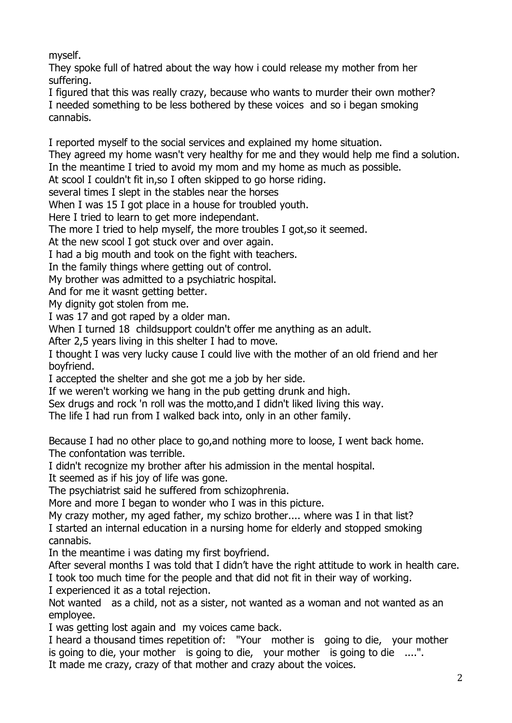myself.

They spoke full of hatred about the way how i could release my mother from her suffering.

I figured that this was really crazy, because who wants to murder their own mother? I needed something to be less bothered by these voices and so i began smoking cannabis.

I reported myself to the social services and explained my home situation.

They agreed my home wasn't very healthy for me and they would help me find a solution. In the meantime I tried to avoid my mom and my home as much as possible.

At scool I couldn't fit in,so I often skipped to go horse riding.

several times I slept in the stables near the horses

When I was 15 I got place in a house for troubled youth.

Here I tried to learn to get more independant.

The more I tried to help myself, the more troubles I got,so it seemed.

At the new scool I got stuck over and over again.

I had a big mouth and took on the fight with teachers.

In the family things where getting out of control.

My brother was admitted to a psychiatric hospital.

And for me it wasnt getting better.

My dignity got stolen from me.

I was 17 and got raped by a older man.

When I turned 18 childsupport couldn't offer me anything as an adult.

After 2,5 years living in this shelter I had to move.

I thought I was very lucky cause I could live with the mother of an old friend and her boyfriend.

I accepted the shelter and she got me a job by her side.

If we weren't working we hang in the pub getting drunk and high.

Sex drugs and rock 'n roll was the motto,and I didn't liked living this way.

The life I had run from I walked back into, only in an other family.

Because I had no other place to go,and nothing more to loose, I went back home. The confontation was terrible.

I didn't recognize my brother after his admission in the mental hospital.

It seemed as if his joy of life was gone.

The psychiatrist said he suffered from schizophrenia.

More and more I began to wonder who I was in this picture.

My crazy mother, my aged father, my schizo brother.... where was I in that list? I started an internal education in a nursing home for elderly and stopped smoking cannabis.

In the meantime i was dating my first boyfriend.

After several months I was told that I didn't have the right attitude to work in health care. I took too much time for the people and that did not fit in their way of working.

I experienced it as a total rejection.

Not wanted as a child, not as a sister, not wanted as a woman and not wanted as an employee.

I was getting lost again and my voices came back.

I heard a thousand times repetition of: "Your mother is going to die, your mother is going to die, your mother is going to die, your mother is going to die ....".

It made me crazy, crazy of that mother and crazy about the voices.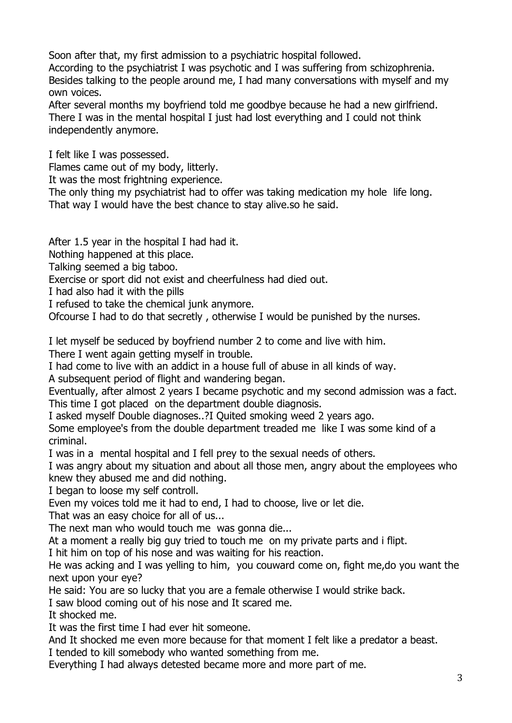Soon after that, my first admission to a psychiatric hospital followed.

According to the psychiatrist I was psychotic and I was suffering from schizophrenia. Besides talking to the people around me, I had many conversations with myself and my own voices.

After several months my boyfriend told me goodbye because he had a new girlfriend. There I was in the mental hospital I just had lost everything and I could not think independently anymore.

I felt like I was possessed.

Flames came out of my body, litterly.

It was the most frightning experience.

The only thing my psychiatrist had to offer was taking medication my hole life long. That way I would have the best chance to stay alive.so he said.

After 1.5 year in the hospital I had had it.

Nothing happened at this place.

Talking seemed a big taboo.

Exercise or sport did not exist and cheerfulness had died out.

I had also had it with the pills

I refused to take the chemical junk anymore.

Ofcourse I had to do that secretly , otherwise I would be punished by the nurses.

I let myself be seduced by boyfriend number 2 to come and live with him.

There I went again getting myself in trouble.

I had come to live with an addict in a house full of abuse in all kinds of way.

A subsequent period of flight and wandering began.

Eventually, after almost 2 years I became psychotic and my second admission was a fact. This time I got placed on the department double diagnosis.

I asked myself Double diagnoses..?I Quited smoking weed 2 years ago.

Some employee's from the double department treaded me like I was some kind of a criminal.

I was in a mental hospital and I fell prey to the sexual needs of others.

I was angry about my situation and about all those men, angry about the employees who knew they abused me and did nothing.

I began to loose my self controll.

Even my voices told me it had to end, I had to choose, live or let die.

That was an easy choice for all of us...

The next man who would touch me was gonna die...

At a moment a really big guy tried to touch me on my private parts and i flipt.

I hit him on top of his nose and was waiting for his reaction.

He was acking and I was yelling to him, you couward come on, fight me,do you want the next upon your eye?

He said: You are so lucky that you are a female otherwise I would strike back.

I saw blood coming out of his nose and It scared me.

It shocked me.

It was the first time I had ever hit someone.

And It shocked me even more because for that moment I felt like a predator a beast. I tended to kill somebody who wanted something from me.

Everything I had always detested became more and more part of me.